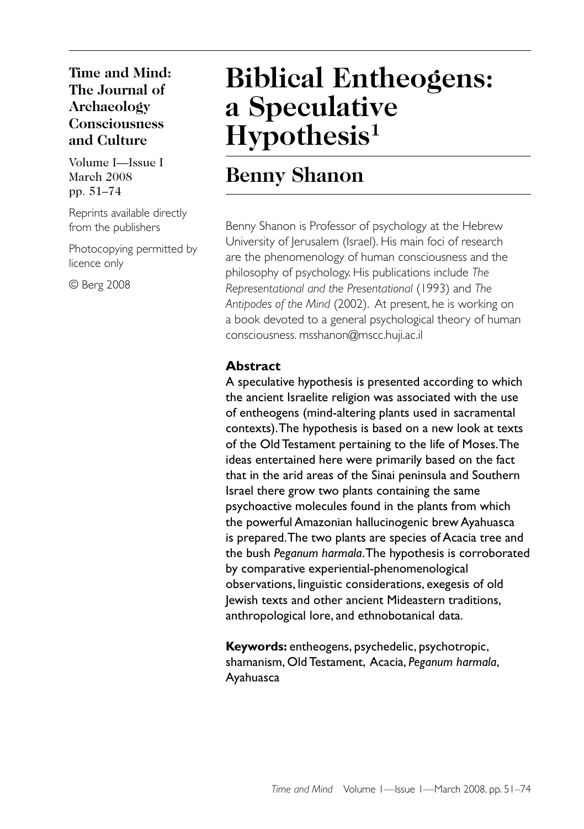### Time and Mind: The Journal of Archaeology Consciousness and Culture

Volume I-Issue I March 2008 pp. 51-74

Reprints available directly from the publishers

Photocopying permitted by licence only

© Berg 2008

# **Biblical Entheogens:** a Speculative Hypothesis<sup>1</sup>

# **Benny Shanon**

Benny Shanon is Professor of psychology at the Hebrew University of Jerusalem (Israel). His main foci of research are the phenomenology of human consciousness and the philosophy of psychology. His publications include The Representational and the Presentational (1993) and The Antipodes of the Mind (2002). At present, he is working on a book devoted to a general psychological theory of human consciousness. msshanon@mscc.huji.ac.il

#### **Abstract**

A speculative hypothesis is presented according to which the ancient Israelite religion was associated with the use of entheogens (mind-altering plants used in sacramental contexts). The hypothesis is based on a new look at texts of the Old Testament pertaining to the life of Moses. The ideas entertained here were primarily based on the fact that in the arid areas of the Sinai peninsula and Southern Israel there grow two plants containing the same psychoactive molecules found in the plants from which the powerful Amazonian hallucinogenic brew Ayahuasca is prepared. The two plants are species of Acacia tree and the bush Peganum harmala. The hypothesis is corroborated by comparative experiential-phenomenological observations, linguistic considerations, exegesis of old Jewish texts and other ancient Mideastern traditions, anthropological lore, and ethnobotanical data.

Keywords: entheogens, psychedelic, psychotropic, shamanism, Old Testament, Acacia, Peganum harmala, Ayahuasca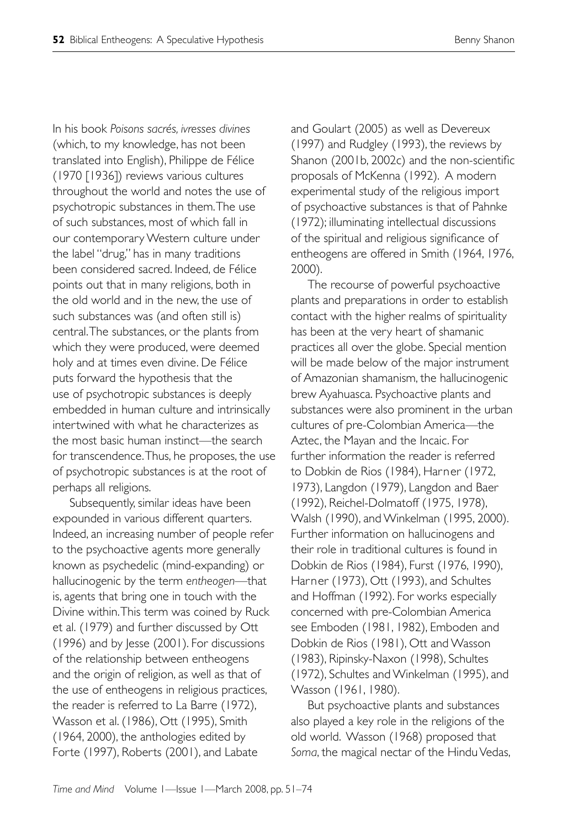In his book Poisons sacrés, ivresses divines (which, to my knowledge, has not been translated into English), Philippe de Félice (1970 [1936]) reviews various cultures throughout the world and notes the use of psychotropic substances in them. The use of such substances, most of which fall in our contemporary Western culture under the label "drug," has in many traditions been considered sacred. Indeed, de Félice points out that in many religions, both in the old world and in the new, the use of such substances was (and often still is) central. The substances, or the plants from which they were produced, were deemed holy and at times even divine. De Félice puts forward the hypothesis that the use of psychotropic substances is deeply embedded in human culture and intrinsically intertwined with what he characterizes as the most basic human instinct—the search for transcendence. Thus, he proposes, the use of psychotropic substances is at the root of perhaps all religions.

Subsequently, similar ideas have been expounded in various different quarters. Indeed, an increasing number of people refer to the psychoactive agents more generally known as psychedelic (mind-expanding) or hallucinogenic by the term entheogen-that is, agents that bring one in touch with the Divine within. This term was coined by Ruck et al. (1979) and further discussed by Ott (1996) and by Jesse (2001). For discussions of the relationship between entheogens and the origin of religion, as well as that of the use of entheogens in religious practices, the reader is referred to La Barre (1972), Wasson et al. (1986), Ott (1995), Smith (1964, 2000), the anthologies edited by Forte (1997), Roberts (2001), and Labate

and Goulart (2005) as well as Devereux (1997) and Rudgley (1993), the reviews by Shanon (2001b, 2002c) and the non-scientific proposals of McKenna (1992). A modern experimental study of the religious import of psychoactive substances is that of Pahnke (1972); illuminating intellectual discussions of the spiritual and religious significance of entheogens are offered in Smith (1964, 1976, 2000).

The recourse of powerful psychoactive plants and preparations in order to establish contact with the higher realms of spirituality has been at the very heart of shamanic practices all over the globe. Special mention will be made below of the major instrument of Amazonian shamanism, the hallucinogenic brew Ayahuasca. Psychoactive plants and substances were also prominent in the urban cultures of pre-Colombian America-the Aztec, the Mayan and the Incaic. For further information the reader is referred to Dobkin de Rios (1984), Harner (1972, 1973), Langdon (1979), Langdon and Baer (1992), Reichel-Dolmatoff (1975, 1978), Walsh (1990), and Winkelman (1995, 2000). Further information on hallucinogens and their role in traditional cultures is found in Dobkin de Rios (1984), Furst (1976, 1990), Harner (1973), Ott (1993), and Schultes and Hoffman (1992). For works especially concerned with pre-Colombian America see Emboden (1981, 1982), Emboden and Dobkin de Rios (1981), Ott and Wasson (1983), Ripinsky-Naxon (1998), Schultes (1972), Schultes and Winkelman (1995), and Wasson (1961, 1980).

But psychoactive plants and substances also played a key role in the religions of the old world. Wasson (1968) proposed that Soma, the magical nectar of the Hindu Vedas,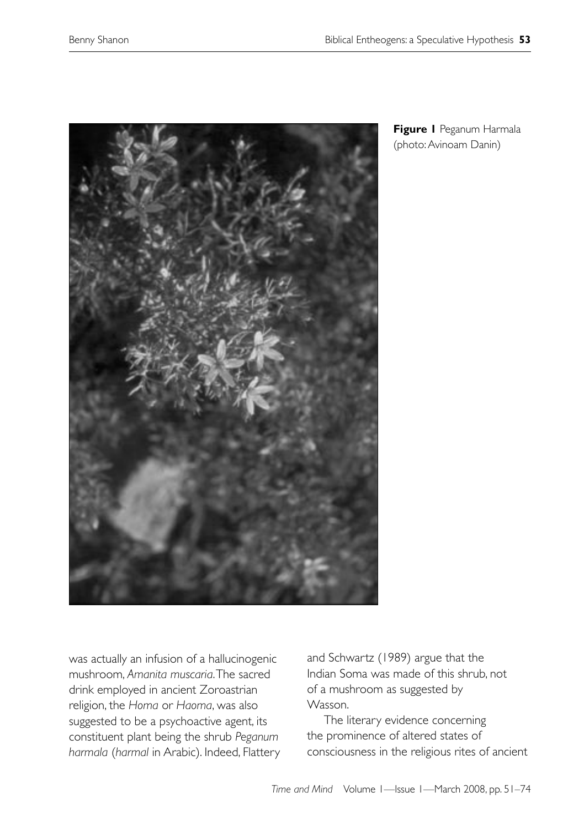

Figure I Peganum Harmala (photo: Avinoam Danin)

was actually an infusion of a hallucinogenic mushroom, Amanita muscaria. The sacred drink employed in ancient Zoroastrian religion, the Homa or Haoma, was also suggested to be a psychoactive agent, its constituent plant being the shrub Peganum harmala (harmal in Arabic). Indeed, Flattery and Schwartz (1989) argue that the Indian Soma was made of this shrub, not of a mushroom as suggested by Wasson.

The literary evidence concerning the prominence of altered states of consciousness in the religious rites of ancient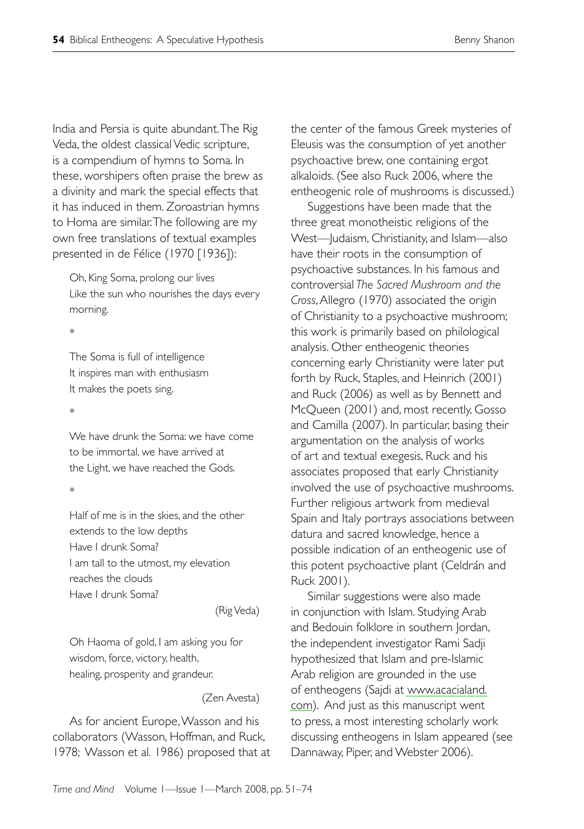India and Persia is quite abundant. The Rig Veda, the oldest classical Vedic scripture, is a compendium of hymns to Soma. In these, worshipers often praise the brew as a divinity and mark the special effects that it has induced in them. Zoroastrian hymns to Homa are similar. The following are my own free translations of textual examples presented in de Félice (1970 [1936]):

Oh, King Soma, prolong our lives Like the sun who nourishes the days every morning.

The Soma is full of intelligence It inspires man with enthusiasm It makes the poets sing.

We have drunk the Soma: we have come to be immortal, we have arrived at the Light, we have reached the Gods.

Half of me is in the skies, and the other extends to the low depths Have I drunk Soma? I am tall to the utmost, my elevation reaches the clouds Have I drunk Soma?

(Rig Veda)

Oh Haoma of gold, I am asking you for wisdom, force, victory, health, healing, prosperity and grandeur.

(Zen Avesta)

As for ancient Europe, Wasson and his collaborators (Wasson, Hoffman, and Ruck, 1978; Wasson et al. 1986) proposed that at the center of the famous Greek mysteries of Eleusis was the consumption of yet another psychoactive brew, one containing ergot alkaloids. (See also Ruck 2006, where the entheogenic role of mushrooms is discussed.)

Suggestions have been made that the three great monotheistic religions of the West-Judaism, Christianity, and Islam-also have their roots in the consumption of psychoactive substances. In his famous and controversial The Sacred Mushroom and the Cross, Allegro (1970) associated the origin of Christianity to a psychoactive mushroom; this work is primarily based on philological analysis. Other entheogenic theories concerning early Christianity were later put forth by Ruck, Staples, and Heinrich (2001) and Ruck (2006) as well as by Bennett and McQueen (2001) and, most recently, Gosso and Camilla (2007). In particular, basing their argumentation on the analysis of works of art and textual exegesis, Ruck and his associates proposed that early Christianity involved the use of psychoactive mushrooms. Further religious artwork from medieval Spain and Italy portrays associations between datura and sacred knowledge, hence a possible indication of an entheogenic use of this potent psychoactive plant (Celdrán and Ruck 2001).

Similar suggestions were also made in conjunction with Islam. Studying Arab and Bedouin folklore in southern Jordan, the independent investigator Rami Sadji hypothesized that Islam and pre-Islamic Arab religion are grounded in the use of entheogens (Sajdi at www.acacialand. com). And just as this manuscript went to press, a most interesting scholarly work discussing entheogens in Islam appeared (see Dannaway, Piper, and Webster 2006).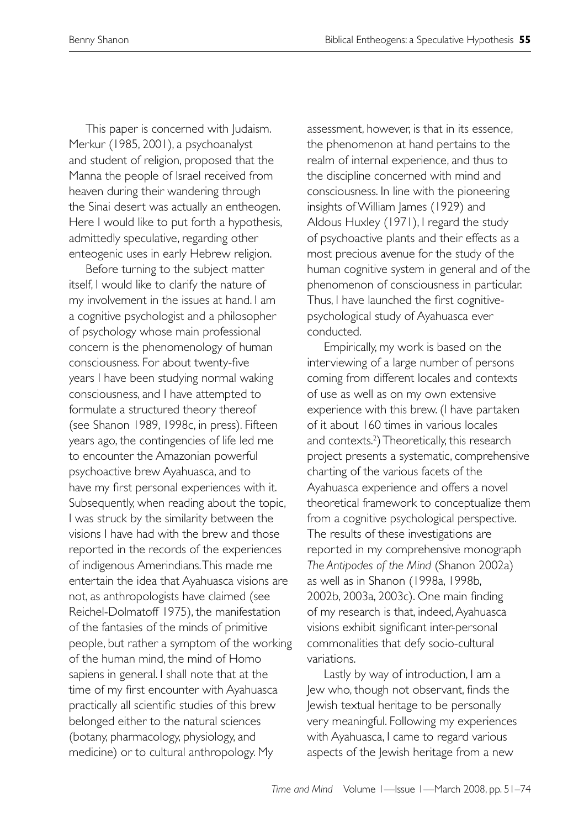This paper is concerned with Judaism. Merkur (1985, 2001), a psychoanalyst and student of religion, proposed that the Manna the people of Israel received from heaven during their wandering through the Sinai desert was actually an entheogen. Here I would like to put forth a hypothesis, admittedly speculative, regarding other enteogenic uses in early Hebrew religion.

Before turning to the subject matter itself, I would like to clarify the nature of my involvement in the issues at hand. I am a cognitive psychologist and a philosopher of psychology whose main professional concern is the phenomenology of human consciousness. For about twenty-five years I have been studying normal waking consciousness, and I have attempted to formulate a structured theory thereof (see Shanon 1989, 1998c, in press). Fifteen years ago, the contingencies of life led me to encounter the Amazonian powerful psychoactive brew Ayahuasca, and to have my first personal experiences with it. Subsequently, when reading about the topic, I was struck by the similarity between the visions I have had with the brew and those reported in the records of the experiences of indigenous Amerindians. This made me entertain the idea that Ayahuasca visions are not, as anthropologists have claimed (see Reichel-Dolmatoff 1975), the manifestation of the fantasies of the minds of primitive people, but rather a symptom of the working of the human mind, the mind of Homo sapiens in general. I shall note that at the time of my first encounter with Ayahuasca practically all scientific studies of this brew belonged either to the natural sciences (botany, pharmacology, physiology, and medicine) or to cultural anthropology. My

assessment, however, is that in its essence, the phenomenon at hand pertains to the realm of internal experience, and thus to the discipline concerned with mind and consciousness. In line with the pioneering insights of William James (1929) and Aldous Huxley (1971), I regard the study of psychoactive plants and their effects as a most precious avenue for the study of the human cognitive system in general and of the phenomenon of consciousness in particular. Thus, I have launched the first cognitivepsychological study of Ayahuasca ever conducted.

Empirically, my work is based on the interviewing of a large number of persons coming from different locales and contexts of use as well as on my own extensive experience with this brew. (I have partaken of it about 160 times in various locales and contexts.<sup>2</sup>) Theoretically, this research project presents a systematic, comprehensive charting of the various facets of the Ayahuasca experience and offers a novel theoretical framework to conceptualize them from a cognitive psychological perspective. The results of these investigations are reported in my comprehensive monograph The Antipodes of the Mind (Shanon 2002a) as well as in Shanon (1998a, 1998b, 2002b, 2003a, 2003c). One main finding of my research is that, indeed, Ayahuasca visions exhibit significant inter-personal commonalities that defy socio-cultural variations

Lastly by way of introduction, I am a Jew who, though not observant, finds the Jewish textual heritage to be personally very meaningful. Following my experiences with Ayahuasca, I came to regard various aspects of the Jewish heritage from a new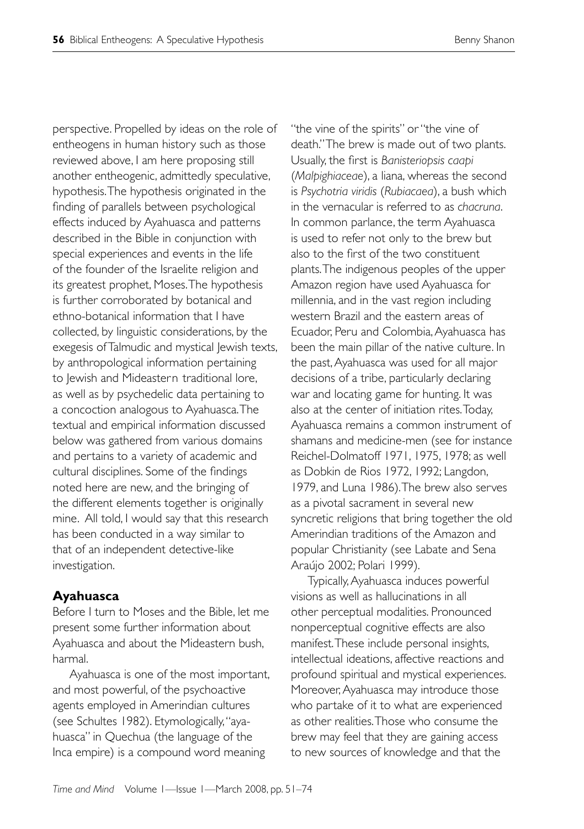perspective. Propelled by ideas on the role of entheogens in human history such as those reviewed above, I am here proposing still another entheogenic, admittedly speculative, hypothesis. The hypothesis originated in the finding of parallels between psychological effects induced by Ayahuasca and patterns described in the Bible in conjunction with special experiences and events in the life of the founder of the Israelite religion and its greatest prophet, Moses. The hypothesis is further corroborated by botanical and ethno-botanical information that I have collected, by linguistic considerations, by the exegesis of Talmudic and mystical lewish texts, by anthropological information pertaining to lewish and Mideastern traditional lore, as well as by psychedelic data pertaining to a concoction analogous to Ayahuasca. The textual and empirical information discussed below was gathered from various domains and pertains to a variety of academic and cultural disciplines. Some of the findings noted here are new, and the bringing of the different elements together is originally mine. All told, I would say that this research has been conducted in a way similar to that of an independent detective-like investigation.

#### Ayahuasca

Before I turn to Moses and the Bible, let me present some further information about Ayahuasca and about the Mideastern bush, harmal

Ayahuasca is one of the most important, and most powerful, of the psychoactive agents employed in Amerindian cultures (see Schultes 1982). Etymologically, "ayahuasca" in Quechua (the language of the Inca empire) is a compound word meaning

"the vine of the spirits" or "the vine of death."The brew is made out of two plants. Usually, the first is Banisteriopsis caapi (Malpighiaceae), a liana, whereas the second is Psychotria viridis (Rubiacaea), a bush which in the vernacular is referred to as chacruna. In common parlance, the term Ayahuasca is used to refer not only to the brew but also to the first of the two constituent plants. The indigenous peoples of the upper Amazon region have used Ayahuasca for millennia, and in the vast region including western Brazil and the eastern areas of Ecuador, Peru and Colombia, Ayahuasca has been the main pillar of the native culture. In the past, Ayahuasca was used for all major decisions of a tribe, particularly declaring war and locating game for hunting. It was also at the center of initiation rites. Today, Ayahuasca remains a common instrument of shamans and medicine-men (see for instance Reichel-Dolmatoff 1971, 1975, 1978; as well as Dobkin de Rios 1972, 1992; Langdon, 1979, and Luna 1986). The brew also serves as a pivotal sacrament in several new syncretic religions that bring together the old Amerindian traditions of the Amazon and popular Christianity (see Labate and Sena Araújo 2002; Polari 1999).

Typically, Ayahuasca induces powerful visions as well as hallucinations in all other perceptual modalities. Pronounced nonperceptual cognitive effects are also manifest. These include personal insights, intellectual ideations, affective reactions and profound spiritual and mystical experiences. Moreover, Ayahuasca may introduce those who partake of it to what are experienced as other realities. Those who consume the brew may feel that they are gaining access to new sources of knowledge and that the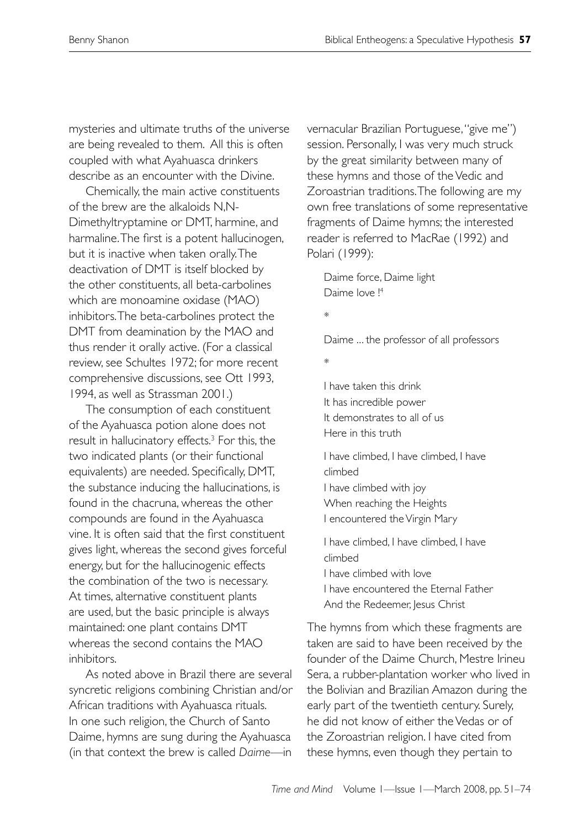mysteries and ultimate truths of the universe are being revealed to them. All this is often coupled with what Ayahuasca drinkers describe as an encounter with the Divine.

Chemically, the main active constituents of the brew are the alkaloids N.N-Dimethyltryptamine or DMT, harmine, and harmaline. The first is a potent hallucinogen, but it is inactive when taken orally. The deactivation of DMT is itself blocked by the other constituents, all beta-carbolines which are monoamine oxidase (MAO) inhibitors. The beta-carbolines protect the DMT from deamination by the MAO and thus render it orally active. (For a classical review, see Schultes 1972; for more recent comprehensive discussions, see Ott 1993, 1994, as well as Strassman 2001.)

The consumption of each constituent of the Ayahuasca potion alone does not result in hallucinatory effects.<sup>3</sup> For this, the two indicated plants (or their functional equivalents) are needed. Specifically, DMT, the substance inducing the hallucinations, is found in the chacruna, whereas the other compounds are found in the Ayahuasca vine. It is often said that the first constituent gives light, whereas the second gives forceful energy, but for the hallucinogenic effects the combination of the two is necessary. At times, alternative constituent plants are used, but the basic principle is always maintained: one plant contains DMT whereas the second contains the MAO inhibitors

As noted above in Brazil there are several syncretic religions combining Christian and/or African traditions with Ayahuasca rituals. In one such religion, the Church of Santo Daime, hymns are sung during the Ayahuasca (in that context the brew is called Daime-in

vernacular Brazilian Portuguese, "give me") session. Personally, I was very much struck by the great similarity between many of these hymns and those of the Vedic and Zoroastrian traditions. The following are my own free translations of some representative fragments of Daime hymns; the interested reader is referred to MacRae (1992) and Polari (1999):

Daime force, Daime light Daime love !<sup>4</sup>

Daime ... the professor of all professors

I have taken this drink It has incredible power It demonstrates to all of us Here in this truth

I have climbed. I have climbed. I have climbed I have climbed with joy When reaching the Heights I encountered the Virgin Mary

I have climbed. I have climbed. I have climbed I have climbed with love I have encountered the Eternal Father And the Redeemer, Jesus Christ

The hymns from which these fragments are taken are said to have been received by the founder of the Daime Church. Mestre Irineu Sera, a rubber-plantation worker who lived in the Bolivian and Brazilian Amazon during the early part of the twentieth century. Surely, he did not know of either the Vedas or of the Zoroastrian religion. I have cited from these hymns, even though they pertain to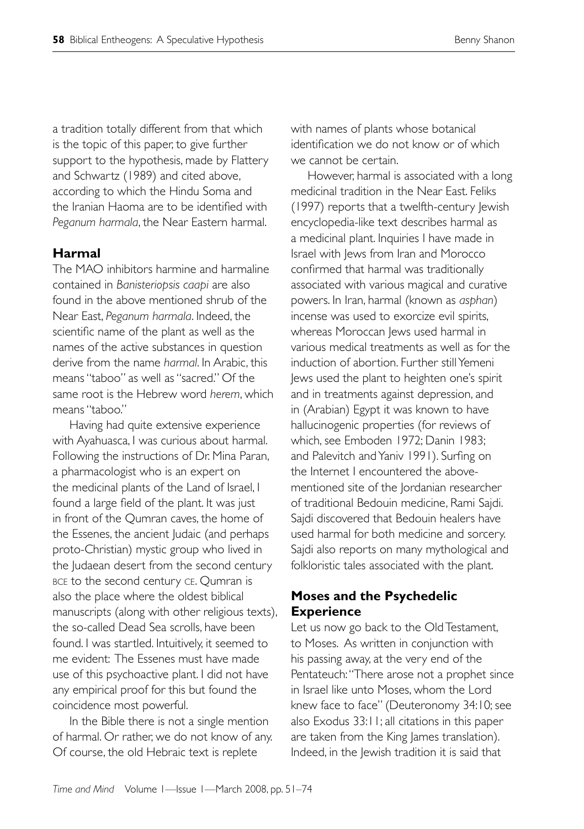a tradition totally different from that which is the topic of this paper, to give further support to the hypothesis, made by Flattery and Schwartz (1989) and cited above, according to which the Hindu Soma and the Iranian Haoma are to be identified with Peganum harmala, the Near Eastern harmal.

#### **Harmal**

The MAO inhibitors harmine and harmaline contained in Banisteriopsis cagpi are also found in the above mentioned shrub of the Near East, Peganum harmala. Indeed, the scientific name of the plant as well as the names of the active substances in question derive from the name harmal. In Arabic, this means "taboo" as well as "sacred." Of the same root is the Hebrew word herem, which means "taboo."

Having had quite extensive experience with Ayahuasca, I was curious about harmal. Following the instructions of Dr. Mina Paran, a pharmacologist who is an expert on the medicinal plants of the Land of Israel, I found a large field of the plant. It was just in front of the Qumran caves, the home of the Essenes, the ancient Judaic (and perhaps proto-Christian) mystic group who lived in the Judaean desert from the second century BCE to the second century CE. Qumran is also the place where the oldest biblical manuscripts (along with other religious texts), the so-called Dead Sea scrolls, have been found. I was startled. Intuitively, it seemed to me evident: The Essenes must have made use of this psychoactive plant. I did not have any empirical proof for this but found the coincidence most powerful.

In the Bible there is not a single mention of harmal. Or rather, we do not know of any. Of course, the old Hebraic text is replete

with names of plants whose botanical identification we do not know or of which we cannot be certain.

However, harmal is associated with a long medicinal tradition in the Near East. Feliks (1997) reports that a twelfth-century Jewish encyclopedia-like text describes harmal as a medicinal plant. Inquiries I have made in Israel with Jews from Iran and Morocco confirmed that harmal was traditionally associated with various magical and curative powers. In Iran, harmal (known as asphan) incense was used to exorcize evil spirits, whereas Moroccan Jews used harmal in various medical treatments as well as for the induction of abortion. Further still Yemeni Jews used the plant to heighten one's spirit and in treatments against depression, and in (Arabian) Egypt it was known to have hallucinogenic properties (for reviews of which, see Emboden 1972; Danin 1983; and Palevitch and Yaniv 1991). Surfing on the Internet I encountered the abovementioned site of the lordanian researcher of traditional Bedouin medicine, Rami Sajdi. Saidi discovered that Bedouin healers have used harmal for both medicine and sorcery. Sajdi also reports on many mythological and folkloristic tales associated with the plant.

#### **Moses and the Psychedelic Experience**

Let us now go back to the Old Testament, to Moses. As written in conjunction with his passing away, at the very end of the Pentateuch: "There arose not a prophet since in Israel like unto Moses, whom the Lord knew face to face" (Deuteronomy 34:10; see also Exodus 33:11; all citations in this paper are taken from the King James translation). Indeed, in the lewish tradition it is said that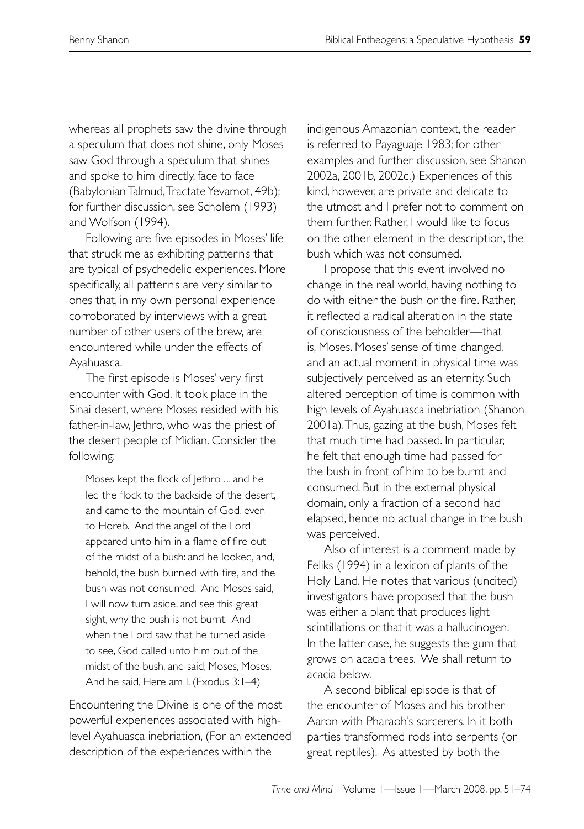whereas all prophets saw the divine through a speculum that does not shine, only Moses saw God through a speculum that shines and spoke to him directly, face to face (Babylonian Talmud, Tractate Yevamot, 49b); for further discussion, see Scholem (1993) and Wolfson (1994).

Following are five episodes in Moses' life that struck me as exhibiting patterns that are typical of psychedelic experiences. More specifically, all patterns are very similar to ones that, in my own personal experience corroborated by interviews with a great number of other users of the brew, are encountered while under the effects of Ayahuasca.

The first episode is Moses' very first encounter with God. It took place in the Sinai desert, where Moses resided with his father-in-law, lethro, who was the priest of the desert people of Midian. Consider the following:

Moses kept the flock of lethro ... and he led the flock to the backside of the desert, and came to the mountain of God, even to Horeb. And the angel of the Lord appeared unto him in a flame of fire out of the midst of a bush: and he looked, and. behold, the bush burned with fire, and the bush was not consumed. And Moses said, I will now turn aside, and see this great sight, why the bush is not burnt. And when the Lord saw that he turned aside to see. God called unto him out of the midst of the bush, and said. Moses, Moses, And he said, Here am I. (Exodus 3:1-4)

Encountering the Divine is one of the most powerful experiences associated with highlevel Ayahuasca inebriation, (For an extended description of the experiences within the

indigenous Amazonian context, the reader is referred to Payaguaje 1983; for other examples and further discussion, see Shanon 2002a, 2001b, 2002c.) Experiences of this kind, however, are private and delicate to the utmost and I prefer not to comment on them further. Rather. I would like to focus on the other element in the description, the bush which was not consumed.

I propose that this event involved no change in the real world, having nothing to do with either the bush or the fire. Rather. it reflected a radical alteration in the state of consciousness of the beholder—that is, Moses. Moses' sense of time changed, and an actual moment in physical time was subjectively perceived as an eternity. Such altered perception of time is common with high levels of Ayahuasca inebriation (Shanon 2001a). Thus, gazing at the bush, Moses felt that much time had passed. In particular, he felt that enough time had passed for the bush in front of him to be burnt and consumed. But in the external physical domain, only a fraction of a second had elapsed, hence no actual change in the bush was perceived.

Also of interest is a comment made by Feliks (1994) in a lexicon of plants of the Holy Land. He notes that various (uncited) investigators have proposed that the bush was either a plant that produces light scintillations or that it was a hallucinogen. In the latter case, he suggests the gum that grows on acacia trees. We shall return to acacia below.

A second biblical episode is that of the encounter of Moses and his brother Aaron with Pharaoh's sorcerers. In it both parties transformed rods into serpents (or great reptiles). As attested by both the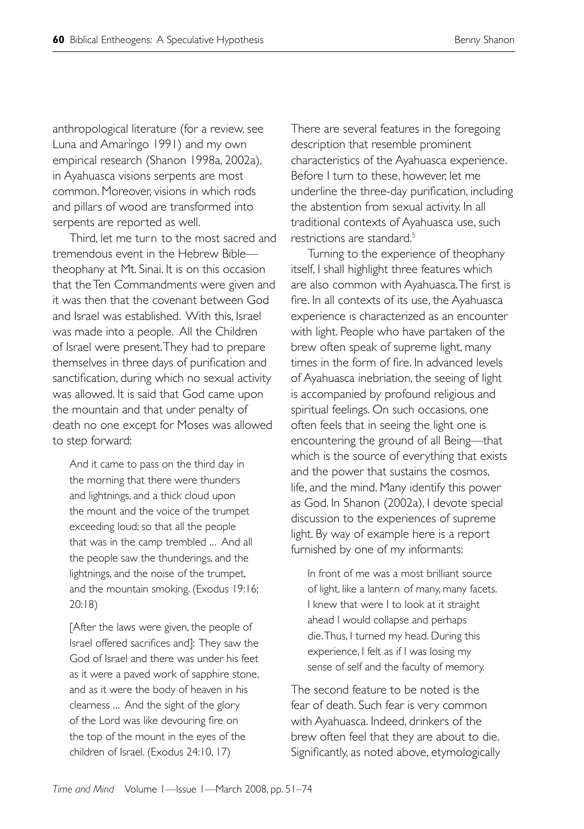anthropological literature (for a review, see Luna and Amaringo 1991) and my own empirical research (Shanon 1998a, 2002a), in Ayahuasca visions serpents are most common. Moreover, visions in which rods and pillars of wood are transformed into serpents are reported as well.

Third, let me turn to the most sacred and tremendous event in the Hebrew Bibletheophany at Mt. Sinai. It is on this occasion that the Ten Commandments were given and it was then that the covenant between God and Israel was established. With this, Israel was made into a people. All the Children of Israel were present. They had to prepare themselves in three days of purification and sanctification, during which no sexual activity was allowed. It is said that God came upon the mountain and that under penalty of death no one except for Moses was allowed to step forward:

And it came to pass on the third day in the morning that there were thunders and lightnings, and a thick cloud upon the mount and the voice of the trumpet exceeding loud; so that all the people that was in the camp trembled ... And all the people saw the thunderings, and the lightnings, and the noise of the trumpet, and the mountain smoking. (Exodus 19:16;  $20:18$ 

[After the laws were given, the people of Israel offered sacrifices and]: They saw the God of Israel and there was under his feet as it were a paved work of sapphire stone, and as it were the body of heaven in his clearness ... And the sight of the glory of the Lord was like devouring fire on the top of the mount in the eyes of the children of Israel. (Exodus 24:10, 17)

There are several features in the foregoing description that resemble prominent characteristics of the Ayahuasca experience. Before I turn to these, however, let me underline the three-day purification, including the abstention from sexual activity. In all traditional contexts of Ayahuasca use, such restrictions are standard.<sup>5</sup>

Turning to the experience of theophany itself, I shall highlight three features which are also common with Ayahuasca. The first is fire. In all contexts of its use, the Ayahuasca experience is characterized as an encounter with light. People who have partaken of the brew often speak of supreme light, many times in the form of fire. In advanced levels of Ayahuasca inebriation, the seeing of light is accompanied by profound religious and spiritual feelings. On such occasions, one often feels that in seeing the light one is encountering the ground of all Being-that which is the source of everything that exists and the power that sustains the cosmos, life, and the mind. Many identify this power as God. In Shanon (2002a), I devote special discussion to the experiences of supreme light. By way of example here is a report furnished by one of my informants:

In front of me was a most brilliant source of light, like a lantern of many, many facets. I knew that were I to look at it straight ahead I would collapse and perhaps die. Thus, I turned my head. During this experience, I felt as if I was losing my sense of self and the faculty of memory.

The second feature to be noted is the fear of death. Such fear is very common with Ayahuasca. Indeed, drinkers of the brew often feel that they are about to die. Significantly, as noted above, etymologically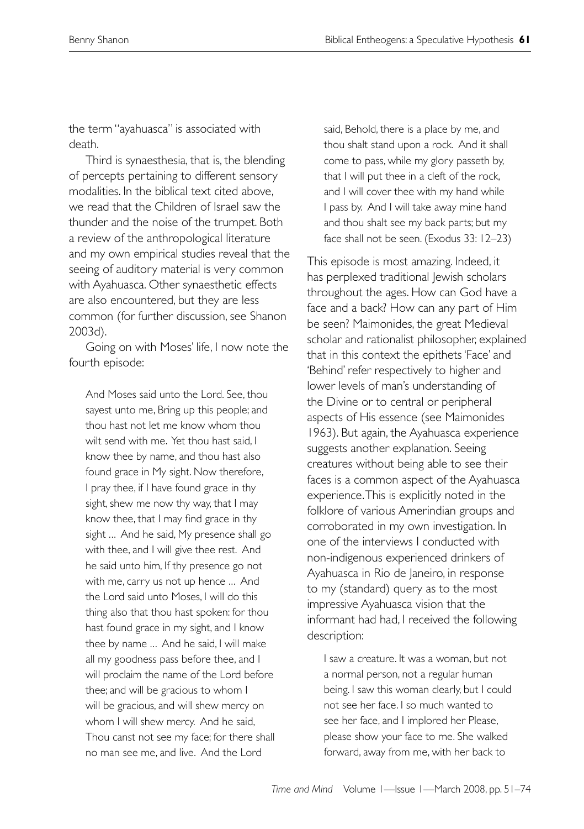the term "ayahuasca" is associated with death.

Third is synaesthesia, that is, the blending of percepts pertaining to different sensory modalities. In the biblical text cited above. we read that the Children of Israel saw the thunder and the noise of the trumpet. Both a review of the anthropological literature and my own empirical studies reveal that the seeing of auditory material is very common with Ayahuasca. Other synaesthetic effects are also encountered, but they are less common (for further discussion, see Shanon 2003d).

Going on with Moses' life, I now note the fourth episode:

And Moses said unto the Lord. See, thou sayest unto me, Bring up this people; and thou hast not let me know whom thou wilt send with me. Yet thou hast said, I know thee by name, and thou hast also found grace in My sight. Now therefore, I pray thee, if I have found grace in thy sight, shew me now thy way, that I may know thee, that I may find grace in thy sight ... And he said, My presence shall go with thee, and I will give thee rest. And he said unto him, If thy presence go not with me, carry us not up hence ... And the Lord said unto Moses. I will do this thing also that thou hast spoken: for thou hast found grace in my sight, and I know thee by name ... And he said, I will make all my goodness pass before thee, and I will proclaim the name of the Lord before thee; and will be gracious to whom I will be gracious, and will shew mercy on whom I will shew mercy. And he said, Thou canst not see my face; for there shall no man see me, and live. And the Lord

said, Behold, there is a place by me, and thou shalt stand upon a rock. And it shall come to pass, while my glory passeth by, that I will put thee in a cleft of the rock, and I will cover thee with my hand while I pass by. And I will take away mine hand and thou shalt see my back parts; but my face shall not be seen. (Exodus 33: 12-23)

This episode is most amazing. Indeed, it has perplexed traditional lewish scholars throughout the ages. How can God have a face and a back? How can any part of Him be seen? Maimonides, the great Medieval scholar and rationalist philosopher, explained that in this context the epithets 'Face' and 'Behind' refer respectively to higher and lower levels of man's understanding of the Divine or to central or peripheral aspects of His essence (see Maimonides 1963). But again, the Ayahuasca experience suggests another explanation. Seeing creatures without being able to see their faces is a common aspect of the Ayahuasca experience. This is explicitly noted in the folklore of various Amerindian groups and corroborated in my own investigation. In one of the interviews I conducted with non-indigenous experienced drinkers of Ayahuasca in Rio de Janeiro, in response to my (standard) query as to the most impressive Ayahuasca vision that the informant had had, I received the following description:

I saw a creature. It was a woman, but not a normal person, not a regular human being. I saw this woman clearly, but I could not see her face. I so much wanted to see her face, and I implored her Please, please show your face to me. She walked forward, away from me, with her back to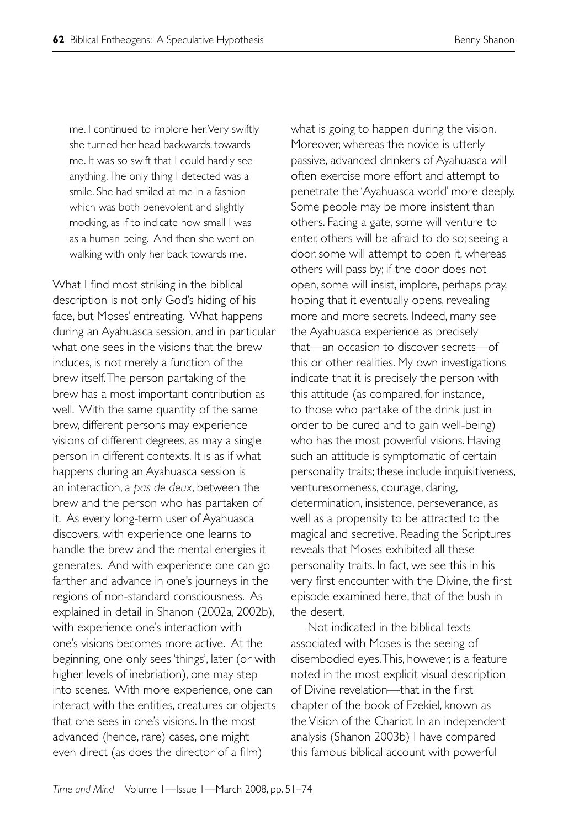me. I continued to implore her. Very swiftly she turned her head backwards, towards me. It was so swift that I could hardly see anything. The only thing I detected was a smile. She had smiled at me in a fashion which was both benevolent and slightly mocking, as if to indicate how small I was as a human being. And then she went on walking with only her back towards me.

What I find most striking in the biblical description is not only God's hiding of his face, but Moses' entreating. What happens during an Ayahuasca session, and in particular what one sees in the visions that the brew induces, is not merely a function of the brew itself. The person partaking of the brew has a most important contribution as well. With the same quantity of the same brew, different persons may experience visions of different degrees, as may a single person in different contexts. It is as if what happens during an Ayahuasca session is an interaction, a pas de deux, between the brew and the person who has partaken of it. As every long-term user of Ayahuasca discovers, with experience one learns to handle the brew and the mental energies it generates. And with experience one can go farther and advance in one's journeys in the regions of non-standard consciousness. As explained in detail in Shanon (2002a, 2002b), with experience one's interaction with one's visions becomes more active. At the beginning, one only sees 'things', later (or with higher levels of inebriation), one may step into scenes. With more experience, one can interact with the entities, creatures or objects that one sees in one's visions. In the most advanced (hence, rare) cases, one might even direct (as does the director of a film)

what is going to happen during the vision. Moreover, whereas the novice is utterly passive, advanced drinkers of Ayahuasca will often exercise more effort and attempt to penetrate the 'Ayahuasca world' more deeply. Some people may be more insistent than others. Facing a gate, some will venture to enter others will be afraid to do so: seeing a door, some will attempt to open it, whereas others will pass by; if the door does not open, some will insist, implore, perhaps pray, hoping that it eventually opens, revealing more and more secrets. Indeed, many see the Ayahuasca experience as precisely that-an occasion to discover secrets-of this or other realities. My own investigations indicate that it is precisely the person with this attitude (as compared, for instance, to those who partake of the drink just in order to be cured and to gain well-being) who has the most powerful visions. Having such an attitude is symptomatic of certain personality traits; these include inquisitiveness, venturesomeness, courage, daring, determination, insistence, perseverance, as well as a propensity to be attracted to the magical and secretive. Reading the Scriptures reveals that Moses exhibited all these personality traits. In fact, we see this in his very first encounter with the Divine, the first episode examined here, that of the bush in the desert.

Not indicated in the biblical texts associated with Moses is the seeing of disembodied eyes. This, however, is a feature noted in the most explicit visual description of Divine revelation-that in the first chapter of the book of Ezekiel, known as the Vision of the Chariot. In an independent analysis (Shanon 2003b) I have compared this famous biblical account with powerful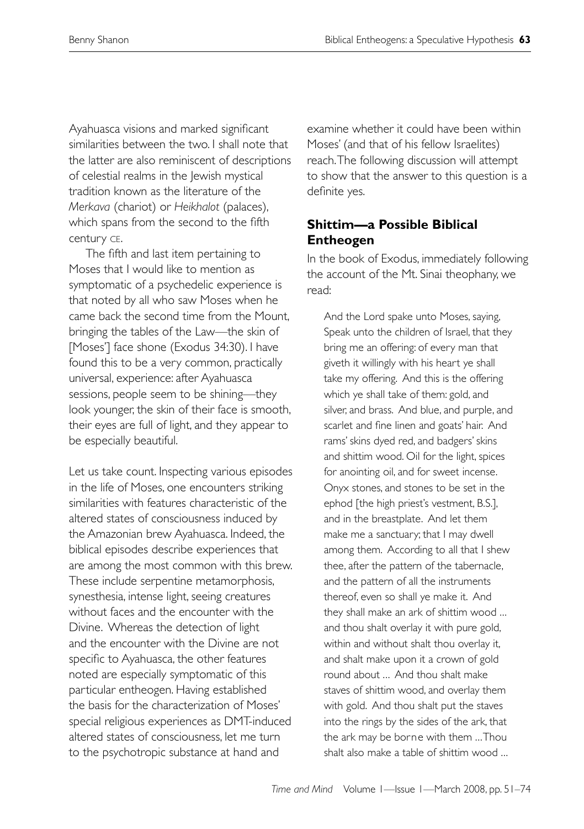Ayahuasca visions and marked significant similarities between the two. I shall note that the latter are also reminiscent of descriptions of celestial realms in the Jewish mystical tradition known as the literature of the Merkava (chariot) or Heikhalot (palaces), which spans from the second to the fifth century CE.

The fifth and last item pertaining to Moses that I would like to mention as symptomatic of a psychedelic experience is that noted by all who saw Moses when he came back the second time from the Mount. bringing the tables of the Law-the skin of [Moses'] face shone (Exodus 34:30). I have found this to be a very common, practically universal, experience: after Ayahuasca sessions, people seem to be shining-they look younger, the skin of their face is smooth, their eyes are full of light, and they appear to be especially beautiful.

Let us take count. Inspecting various episodes in the life of Moses, one encounters striking similarities with features characteristic of the altered states of consciousness induced by the Amazonian brew Ayahuasca. Indeed, the biblical episodes describe experiences that are among the most common with this brew. These include serpentine metamorphosis, synesthesia, intense light, seeing creatures without faces and the encounter with the Divine. Whereas the detection of light and the encounter with the Divine are not specific to Ayahuasca, the other features noted are especially symptomatic of this particular entheogen. Having established the basis for the characterization of Moses' special religious experiences as DMT-induced altered states of consciousness, let me turn to the psychotropic substance at hand and

examine whether it could have been within Moses' (and that of his fellow Israelites) reach. The following discussion will attempt to show that the answer to this question is a definite yes.

#### Shittim—a Possible Biblical **Entheogen**

In the book of Exodus, immediately following the account of the Mt. Sinai theophany, we read:

And the Lord spake unto Moses, saying, Speak unto the children of Israel, that they bring me an offering: of every man that giveth it willingly with his heart ye shall take my offering. And this is the offering which ye shall take of them: gold, and silver, and brass. And blue, and purple, and scarlet and fine linen and goats' hair. And rams' skins dyed red, and badgers' skins and shittim wood. Oil for the light, spices for anointing oil, and for sweet incense. Onyx stones, and stones to be set in the ephod [the high priest's vestment, B.S.], and in the breastplate. And let them make me a sanctuary; that I may dwell among them. According to all that I shew thee, after the pattern of the tabernacle, and the pattern of all the instruments thereof, even so shall ye make it. And they shall make an ark of shittim wood ... and thou shalt overlay it with pure gold, within and without shalt thou overlay it, and shalt make upon it a crown of gold round about ... And thou shalt make staves of shittim wood, and overlay them with gold. And thou shalt put the staves into the rings by the sides of the ark, that the ark may be borne with them ...Thou shalt also make a table of shittim wood ...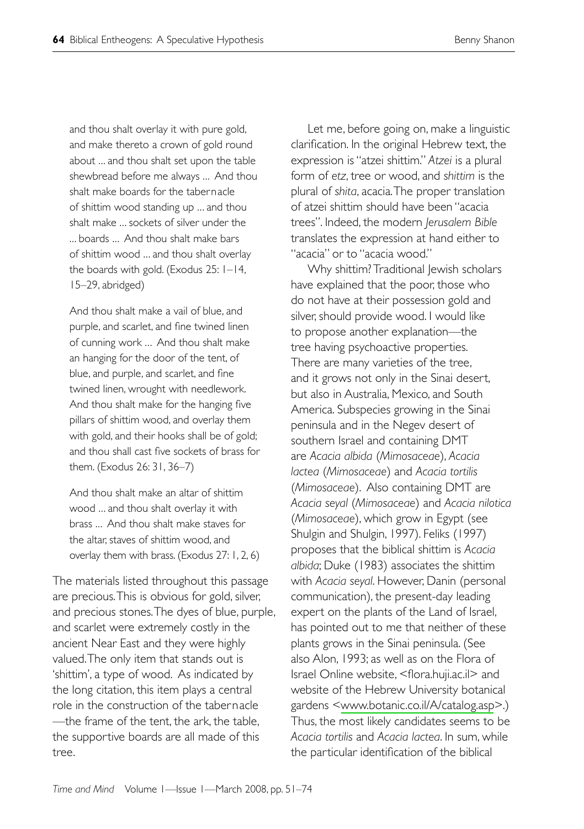and thou shalt overlay it with pure gold, and make thereto a crown of gold round about ... and thou shalt set upon the table shewbread before me always ... And thou shalt make boards for the tabernacle of shittim wood standing up ... and thou shalt make ... sockets of silver under the ... boards ... And thou shalt make bars of shittim wood ... and thou shalt overlay the boards with gold. (Exodus  $25: 1-14$ , 15-29, abridged)

And thou shalt make a vail of blue, and purple, and scarlet, and fine twined linen of cunning work ... And thou shalt make an hanging for the door of the tent, of blue, and purple, and scarlet, and fine twined linen, wrought with needlework. And thou shalt make for the hanging five pillars of shittim wood, and overlay them with gold, and their hooks shall be of gold; and thou shall cast five sockets of brass for them. (Exodus 26: 31, 36-7)

And thou shalt make an altar of shittim wood ... and thou shalt overlay it with brass ... And thou shalt make staves for the altar staves of shittim wood, and overlay them with brass. (Exodus 27: 1, 2, 6)

The materials listed throughout this passage are precious. This is obvious for gold, silver, and precious stones. The dyes of blue, purple, and scarlet were extremely costly in the ancient Near East and they were highly valued. The only item that stands out is 'shittim', a type of wood. As indicated by the long citation, this item plays a central role in the construction of the tabernacle -the frame of the tent, the ark, the table, the supportive boards are all made of this tree

Let me, before going on, make a linguistic clarification. In the original Hebrew text, the expression is "atzei shittim." Atzei is a plural form of etz, tree or wood, and shittim is the plural of shita, acacia. The proper translation of atzei shittim should have been "acacia trees". Indeed, the modern Jerusalem Bible translates the expression at hand either to "acacia" or to "acacia wood."

Why shittim? Traditional lewish scholars have explained that the poor, those who do not have at their possession gold and silver, should provide wood. I would like to propose another explanation-the tree having psychoactive properties. There are many varieties of the tree, and it grows not only in the Sinai desert, but also in Australia, Mexico, and South America. Subspecies growing in the Sinai peninsula and in the Negev desert of southern Israel and containing DMT are Acacia albida (Mimosaceae), Acacia lactea (Mimosaceae) and Acacia tortilis (Mimosaceae). Also containing DMT are Acacia seyal (Mimosaceae) and Acacia nilotica (Mimosaceae), which grow in Egypt (see Shulgin and Shulgin, 1997). Feliks (1997) proposes that the biblical shittim is Acacia albida; Duke (1983) associates the shittim with Acacia seyal. However, Danin (personal communication), the present-day leading expert on the plants of the Land of Israel, has pointed out to me that neither of these plants grows in the Sinai peninsula. (See also Alon, 1993; as well as on the Flora of Israel Online website, <flora.huji.ac.il> and website of the Hebrew University botanical gardens <www.botanic.co.il/A/catalog.asp>.) Thus, the most likely candidates seems to be Acacia tortilis and Acacia lactea. In sum, while the particular identification of the biblical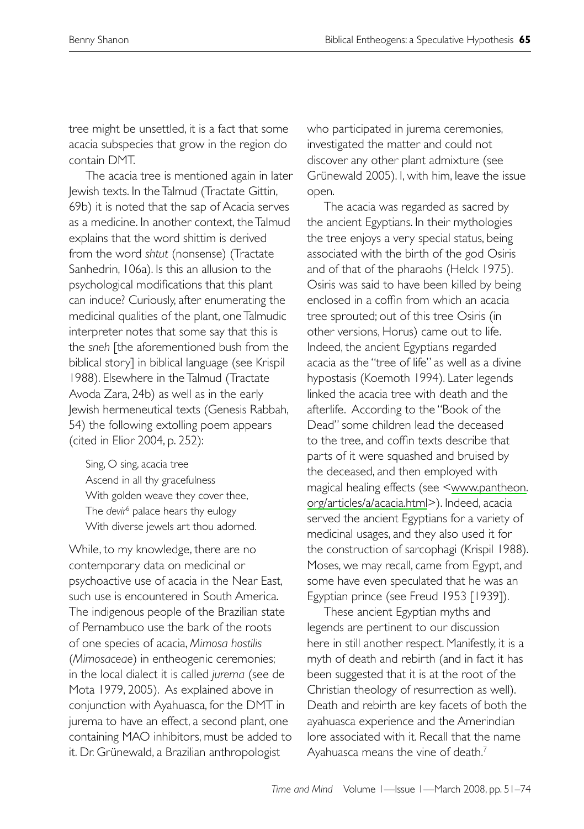tree might be unsettled, it is a fact that some acacia subspecies that grow in the region do contain DMT.

The acacia tree is mentioned again in later Jewish texts. In the Talmud (Tractate Gittin, 69b) it is noted that the sap of Acacia serves as a medicine. In another context, the Talmud explains that the word shittim is derived from the word shtut (nonsense) (Tractate Sanhedrin, 106a). Is this an allusion to the psychological modifications that this plant can induce? Curiously, after enumerating the medicinal qualities of the plant, one Talmudic interpreter notes that some say that this is the sneh [the aforementioned bush from the biblical story] in biblical language (see Krispil 1988). Elsewhere in the Talmud (Tractate Avoda Zara, 24b) as well as in the early Jewish hermeneutical texts (Genesis Rabbah, 54) the following extolling poem appears (cited in Elior 2004, p. 252):

Sing, O sing, acacia tree Ascend in all thy gracefulness With golden weave they cover thee, The devir<sup>6</sup> palace hears thy eulogy With diverse jewels art thou adorned.

While, to my knowledge, there are no contemporary data on medicinal or psychoactive use of acacia in the Near East, such use is encountered in South America. The indigenous people of the Brazilian state of Pernambuco use the bark of the roots of one species of acacia. Mimosa hostilis (Mimosaceae) in entheogenic ceremonies; in the local dialect it is called jurema (see de Mota 1979, 2005). As explained above in conjunction with Ayahuasca, for the DMT in jurema to have an effect, a second plant, one containing MAO inhibitors, must be added to it. Dr. Grünewald, a Brazilian anthropologist

who participated in jurema ceremonies, investigated the matter and could not discover any other plant admixture (see Grünewald 2005). I, with him, leave the issue open.

The acacia was regarded as sacred by the ancient Egyptians. In their mythologies the tree enjoys a very special status, being associated with the birth of the god Osiris and of that of the pharaohs (Helck 1975). Osiris was said to have been killed by being enclosed in a coffin from which an acacia tree sprouted; out of this tree Osiris (in other versions, Horus) came out to life. Indeed, the ancient Egyptians regarded acacia as the "tree of life" as well as a divine hypostasis (Koemoth 1994). Later legends linked the acacia tree with death and the afterlife. According to the "Book of the Dead" some children lead the deceased to the tree, and coffin texts describe that parts of it were squashed and bruised by the deceased, and then employed with magical healing effects (see <www.pantheon. org/articles/a/acacia.html>). Indeed, acacia served the ancient Egyptians for a variety of medicinal usages, and they also used it for the construction of sarcophagi (Krispil 1988). Moses, we may recall, came from Egypt, and some have even speculated that he was an Egyptian prince (see Freud 1953 [1939]).

These ancient Egyptian myths and legends are pertinent to our discussion here in still another respect. Manifestly, it is a myth of death and rebirth (and in fact it has been suggested that it is at the root of the Christian theology of resurrection as well). Death and rebirth are key facets of both the ayahuasca experience and the Amerindian lore associated with it. Recall that the name Ayahuasca means the vine of death.<sup>7</sup>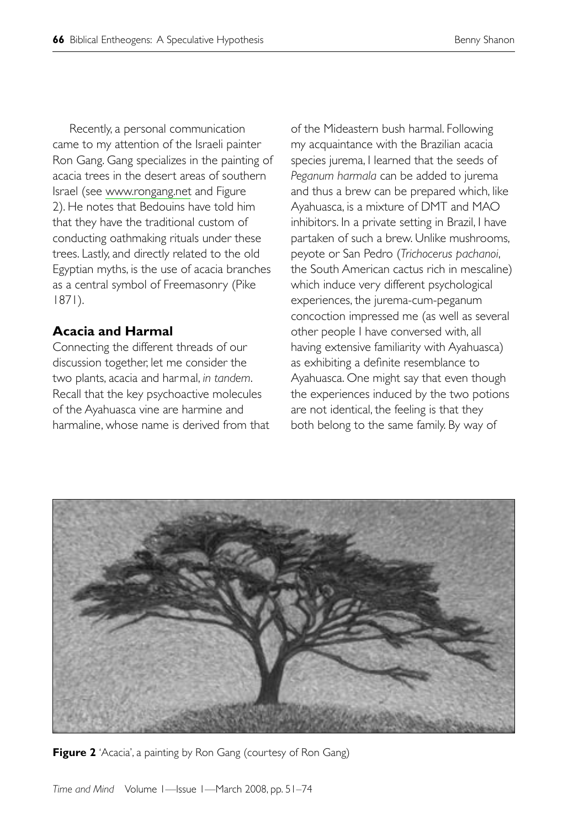Recently, a personal communication came to my attention of the Israeli painter Ron Gang. Gang specializes in the painting of acacia trees in the desert areas of southern Israel (see www.rongang.net and Figure 2). He notes that Bedouins have told him that they have the traditional custom of conducting oathmaking rituals under these trees. Lastly, and directly related to the old Egyptian myths, is the use of acacia branches as a central symbol of Freemasonry (Pike  $1871$ .

#### **Acacia and Harmal**

Connecting the different threads of our discussion together, let me consider the two plants, acacia and harmal, in tandem. Recall that the key psychoactive molecules of the Ayahuasca vine are harmine and harmaline, whose name is derived from that

of the Mideastern bush harmal. Following my acquaintance with the Brazilian acacia species jurema, I learned that the seeds of Peganum harmala can be added to jurema and thus a brew can be prepared which, like Ayahuasca, is a mixture of DMT and MAO inhibitors. In a private setting in Brazil, I have partaken of such a brew. Unlike mushrooms. peyote or San Pedro (Trichocerus pachanoi, the South American cactus rich in mescaline) which induce very different psychological experiences, the jurema-cum-peganum concoction impressed me (as well as several other people I have conversed with, all having extensive familiarity with Ayahuasca) as exhibiting a definite resemblance to Ayahuasca. One might say that even though the experiences induced by the two potions are not identical, the feeling is that they both belong to the same family. By way of



Figure 2 'Acacia', a painting by Ron Gang (courtesy of Ron Gang)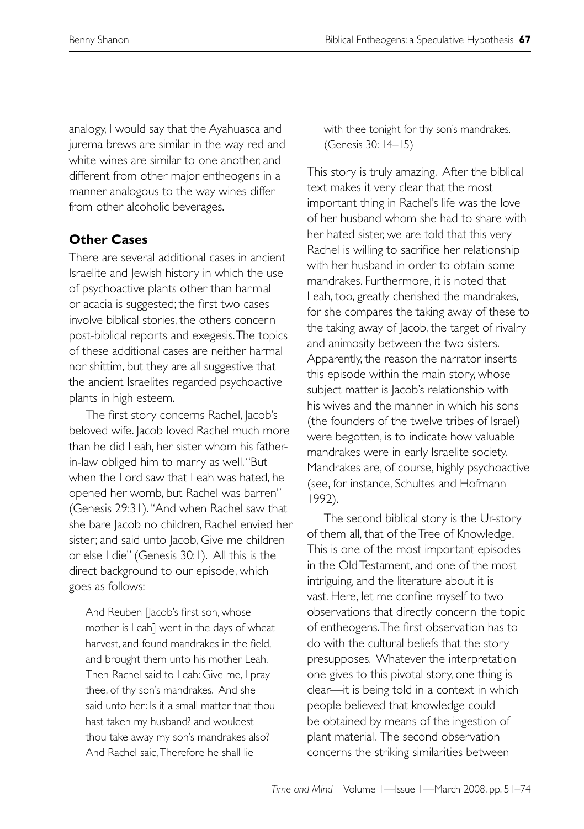analogy, I would say that the Ayahuasca and jurema brews are similar in the way red and white wines are similar to one another and different from other major entheogens in a manner analogous to the way wines differ from other alcoholic beverages.

## **Other Cases**

There are several additional cases in ancient Israelite and Jewish history in which the use of psychoactive plants other than harmal or acacia is suggested; the first two cases involve biblical stories, the others concern post-biblical reports and exegesis. The topics of these additional cases are neither harmal nor shittim, but they are all suggestive that the ancient Israelites regarded psychoactive plants in high esteem.

The first story concerns Rachel, Jacob's beloved wife. Jacob loved Rachel much more than he did Leah, her sister whom his fatherin-law obliged him to marry as well. "But when the Lord saw that Leah was hated, he opened her womb, but Rachel was barren" (Genesis 29:31). "And when Rachel saw that she bare Jacob no children, Rachel envied her sister; and said unto Jacob, Give me children or else I die" (Genesis 30:1). All this is the direct background to our episode, which goes as follows:

And Reuben [Jacob's first son, whose mother is Leah] went in the days of wheat harvest, and found mandrakes in the field. and brought them unto his mother Leah. Then Rachel said to Leah: Give me, I pray thee, of thy son's mandrakes. And she said unto her: Is it a small matter that thou hast taken my husband? and wouldest thou take away my son's mandrakes also? And Rachel said. Therefore he shall lie

with thee tonight for thy son's mandrakes. (Genesis 30: 14-15)

This story is truly amazing. After the biblical text makes it very clear that the most important thing in Rachel's life was the love of her husband whom she had to share with her hated sister, we are told that this very Rachel is willing to sacrifice her relationship with her husband in order to obtain some mandrakes. Furthermore, it is noted that Leah, too, greatly cherished the mandrakes, for she compares the taking away of these to the taking away of Jacob, the target of rivalry and animosity between the two sisters. Apparently, the reason the narrator inserts this episode within the main story, whose subject matter is lacob's relationship with his wives and the manner in which his sons (the founders of the twelve tribes of Israel) were begotten, is to indicate how valuable mandrakes were in early Israelite society. Mandrakes are, of course, highly psychoactive (see, for instance, Schultes and Hofmann 1992).

The second biblical story is the Ur-story of them all, that of the Tree of Knowledge. This is one of the most important episodes in the Old Testament, and one of the most intriguing, and the literature about it is vast. Here, let me confine myself to two observations that directly concern the topic of entheogens. The first observation has to do with the cultural beliefs that the story presupposes. Whatever the interpretation one gives to this pivotal story, one thing is clear-it is being told in a context in which people believed that knowledge could be obtained by means of the ingestion of plant material. The second observation concerns the striking similarities between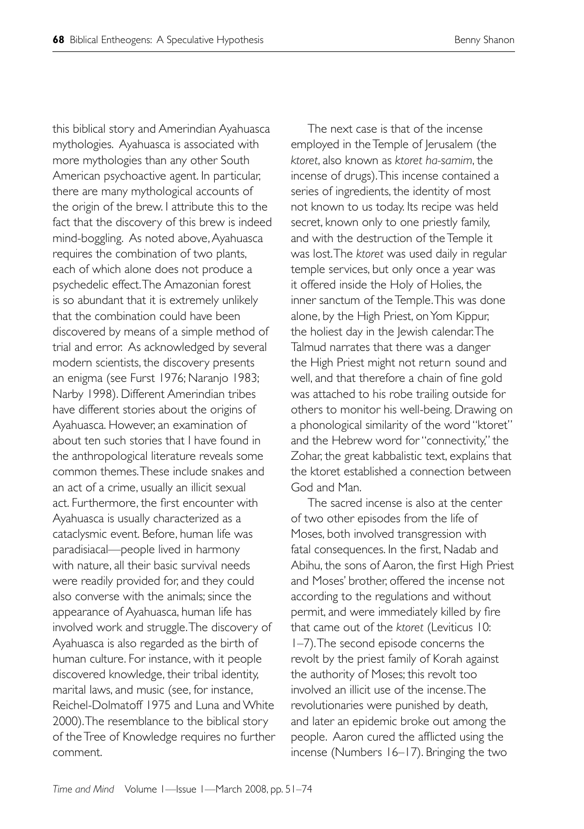this biblical story and Amerindian Ayahuasca mythologies. Ayahuasca is associated with more mythologies than any other South American psychoactive agent. In particular, there are many mythological accounts of the origin of the brew. I attribute this to the fact that the discovery of this brew is indeed mind-boggling. As noted above, Ayahuasca requires the combination of two plants, each of which alone does not produce a psychedelic effect. The Amazonian forest is so abundant that it is extremely unlikely that the combination could have been discovered by means of a simple method of trial and error. As acknowledged by several modern scientists, the discovery presents an enigma (see Furst 1976; Naranjo 1983; Narby 1998). Different Amerindian tribes have different stories about the origins of Ayahuasca. However, an examination of about ten such stories that I have found in the anthropological literature reveals some common themes. These include snakes and an act of a crime, usually an illicit sexual act. Furthermore, the first encounter with Ayahuasca is usually characterized as a cataclysmic event. Before, human life was paradisiacal-people lived in harmony with nature, all their basic survival needs were readily provided for, and they could also converse with the animals; since the appearance of Ayahuasca, human life has involved work and struggle. The discovery of Ayahuasca is also regarded as the birth of human culture. For instance, with it people discovered knowledge, their tribal identity, marital laws, and music (see, for instance, Reichel-Dolmatoff 1975 and Luna and White 2000). The resemblance to the biblical story of the Tree of Knowledge requires no further comment

The next case is that of the incense employed in the Temple of Jerusalem (the ktoret, also known as ktoret ha-samim, the incense of drugs). This incense contained a series of ingredients, the identity of most not known to us today. Its recipe was held secret, known only to one priestly family, and with the destruction of the Temple it was lost. The ktoret was used daily in regular temple services, but only once a year was it offered inside the Holy of Holies, the inner sanctum of the Temple. This was done alone, by the High Priest, on Yom Kippur, the holiest day in the Jewish calendar. The Talmud narrates that there was a danger the High Priest might not return sound and well, and that therefore a chain of fine gold was attached to his robe trailing outside for others to monitor his well-being. Drawing on a phonological similarity of the word "ktoret" and the Hebrew word for "connectivity," the Zohar, the great kabbalistic text, explains that the ktoret established a connection between God and Man.

The sacred incense is also at the center of two other episodes from the life of Moses, both involved transgression with fatal consequences. In the first, Nadab and Abihu, the sons of Aaron, the first High Priest and Moses' brother, offered the incense not according to the regulations and without permit, and were immediately killed by fire that came out of the ktoret (Leviticus 10: I-7). The second episode concerns the revolt by the priest family of Korah against the authority of Moses; this revolt too involved an illicit use of the incense. The revolutionaries were punished by death, and later an epidemic broke out among the people. Aaron cured the afflicted using the incense (Numbers 16-17). Bringing the two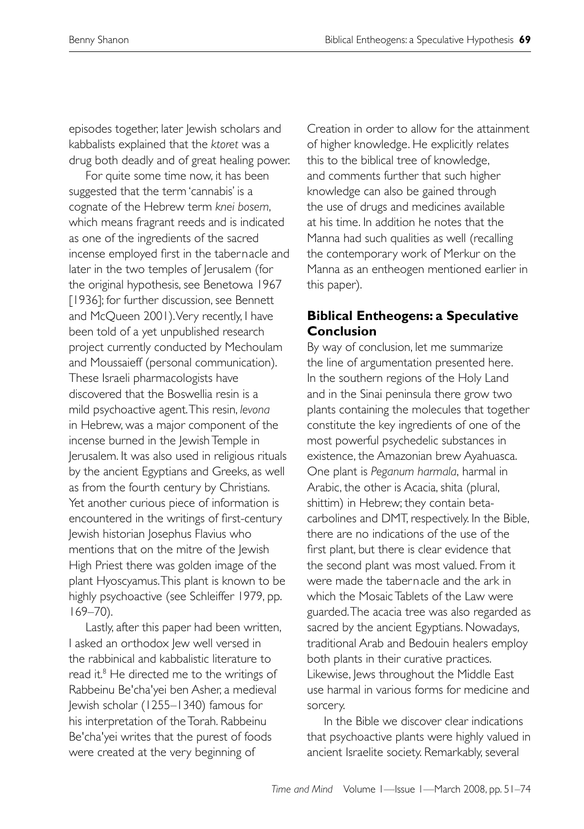episodes together, later Jewish scholars and kabbalists explained that the ktoret was a drug both deadly and of great healing power.

For quite some time now, it has been suggested that the term 'cannabis' is a cognate of the Hebrew term knei bosem, which means fragrant reeds and is indicated as one of the ingredients of the sacred incense employed first in the tabernacle and later in the two temples of Jerusalem (for the original hypothesis, see Benetowa 1967 [1936]; for further discussion, see Bennett and McQueen 2001). Very recently, I have been told of a yet unpublished research project currently conducted by Mechoulam and Moussaieff (personal communication). These Israeli pharmacologists have discovered that the Boswellia resin is a mild psychoactive agent. This resin, levona in Hebrew, was a major component of the incense burned in the Jewish Temple in Jerusalem. It was also used in religious rituals by the ancient Egyptians and Greeks, as well as from the fourth century by Christians. Yet another curious piece of information is encountered in the writings of first-century Jewish historian Josephus Flavius who mentions that on the mitre of the lewish High Priest there was golden image of the plant Hyoscyamus. This plant is known to be highly psychoactive (see Schleiffer 1979, pp.  $169 - 70$ ).

Lastly, after this paper had been written, I asked an orthodox lew well versed in the rabbinical and kabbalistic literature to read it.<sup>8</sup> He directed me to the writings of Rabbeinu Be'cha'yei ben Asher, a medieval Jewish scholar (1255-1340) famous for his interpretation of the Torah. Rabbeinu Be'cha'yei writes that the purest of foods were created at the very beginning of

Creation in order to allow for the attainment of higher knowledge. He explicitly relates this to the biblical tree of knowledge, and comments further that such higher knowledge can also be gained through the use of drugs and medicines available at his time. In addition he notes that the Manna had such qualities as well (recalling the contemporary work of Merkur on the Manna as an entheogen mentioned earlier in this paper).

#### **Biblical Entheogens: a Speculative Conclusion**

By way of conclusion, let me summarize the line of argumentation presented here. In the southern regions of the Holy Land and in the Sinai peninsula there grow two plants containing the molecules that together constitute the key ingredients of one of the most powerful psychedelic substances in existence, the Amazonian brew Ayahuasca. One plant is Peganum harmala, harmal in Arabic, the other is Acacia, shita (plural, shittim) in Hebrew; they contain betacarbolines and DMT, respectively. In the Bible, there are no indications of the use of the first plant, but there is clear evidence that the second plant was most valued. From it were made the tabernacle and the ark in which the Mosaic Tablets of the Law were guarded. The acacia tree was also regarded as sacred by the ancient Egyptians. Nowadays, traditional Arab and Bedouin healers employ both plants in their curative practices. Likewise, Jews throughout the Middle East use harmal in various forms for medicine and sorcery.

In the Bible we discover clear indications that psychoactive plants were highly valued in ancient Israelite society. Remarkably, several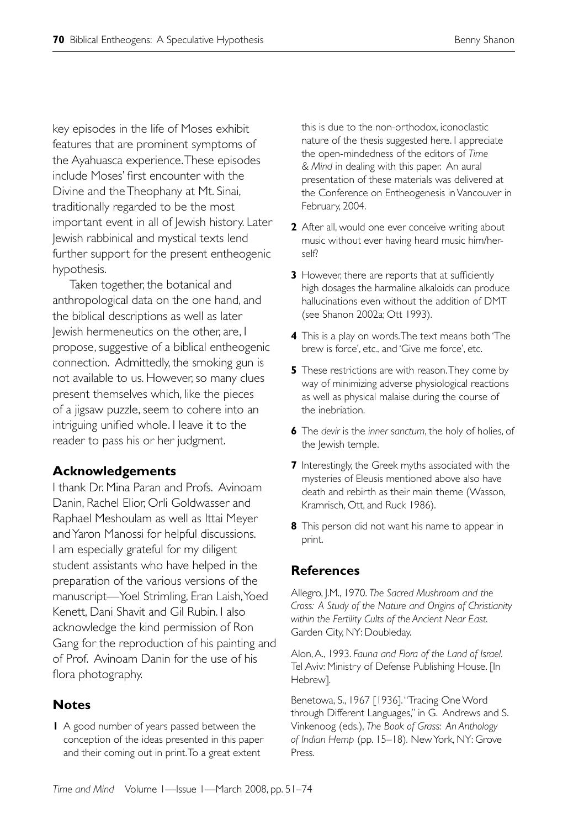key episodes in the life of Moses exhibit features that are prominent symptoms of the Ayahuasca experience. These episodes include Moses' first encounter with the Divine and the Theophany at Mt. Sinai, traditionally regarded to be the most important event in all of Jewish history. Later lewish rabbinical and mystical texts lend further support for the present entheogenic hypothesis.

Taken together, the botanical and anthropological data on the one hand, and the biblical descriptions as well as later Jewish hermeneutics on the other, are, I propose, suggestive of a biblical entheogenic connection. Admittedly, the smoking gun is not available to us. However, so many clues present themselves which, like the pieces of a jigsaw puzzle, seem to cohere into an intriguing unified whole. I leave it to the reader to pass his or her judgment.

#### **Acknowledgements**

I thank Dr. Mina Paran and Profs. Avinoam Danin, Rachel Elior, Orli Goldwasser and Raphael Meshoulam as well as Ittai Meyer and Yaron Manossi for helpful discussions. I am especially grateful for my diligent student assistants who have helped in the preparation of the various versions of the manuscript-Yoel Strimling, Eran Laish, Yoed Kenett, Dani Shavit and Gil Rubin, I also acknowledge the kind permission of Ron Gang for the reproduction of his painting and of Prof. Avinoam Danin for the use of his flora photography.

#### **Notes**

I A good number of years passed between the conception of the ideas presented in this paper and their coming out in print. To a great extent

this is due to the non-orthodox, iconoclastic nature of the thesis suggested here. I appreciate the open-mindedness of the editors of Time & Mind in dealing with this paper. An aural presentation of these materials was delivered at the Conference on Entheogenesis in Vancouver in February, 2004.

- 2 After all, would one ever conceive writing about music without ever having heard music him/herself?
- 3 However, there are reports that at sufficiently high dosages the harmaline alkaloids can produce hallucinations even without the addition of DMT (see Shanon 2002a; Ott 1993).
- 4 This is a play on words. The text means both 'The brew is force', etc., and 'Give me force', etc.
- 5 These restrictions are with reason. They come by way of minimizing adverse physiological reactions as well as physical malaise during the course of the inebriation.
- 6 The devir is the inner sanctum, the holy of holies, of the lewish temple.
- 7 Interestingly, the Greek myths associated with the mysteries of Eleusis mentioned above also have death and rebirth as their main theme (Wasson, Kramrisch, Ott, and Ruck 1986).
- 8 This person did not want his name to appear in print.

#### **References**

Allegro, J.M., 1970. The Sacred Mushroom and the Cross: A Study of the Nature and Origins of Christianity within the Fertility Cults of the Ancient Near East. Garden City, NY: Doubleday.

Alon, A., 1993. Fauna and Flora of the Land of Israel. Tel Aviv: Ministry of Defense Publishing House. [In Hebrew].

Benetowa, S., 1967 [1936]. "Tracing One Word through Different Languages," in G. Andrews and S. Vinkenoog (eds.), The Book of Grass: An Anthology of Indian Hemp (pp. 15-18). New York, NY: Grove Press.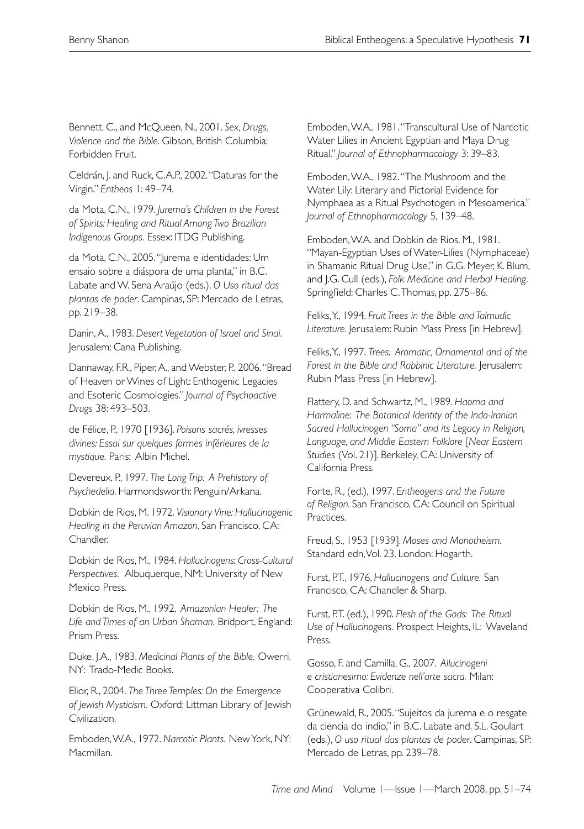Bennett, C., and McQueen, N., 2001. Sex, Drugs, Violence and the Bible. Gibson, British Columbia: Forbidden Fruit.

Celdrán, J. and Ruck, C.A.P., 2002. "Daturas for the Virgin." Entheos 1: 49-74.

da Mota, C.N., 1979. Jurema's Children in the Forest of Spirits: Healing and Ritual Among Two Brazilian Indigenous Groups. Essex: ITDG Publishing.

da Mota, C.N., 2005. "Jurema e identidades: Um ensaio sobre a diáspora de uma planta," in B.C. Labate and W. Sena Araújo (eds.), O Uso ritual das plantas de poder. Campinas, SP: Mercado de Letras, pp. 219-38.

Danin, A., 1983. Desert Vegetation of Israel and Sinai. Jerusalem: Cana Publishing.

Dannaway, F.R., Piper, A., and Webster, P., 2006. "Bread of Heaven or Wines of Light: Enthogenic Legacies and Esoteric Cosmologies." Journal of Psychoactive Drugs 38: 493-503.

de Félice, P., 1970 [1936]. Poisons sacrés, ivresses divines: Essai sur quelques formes inférieures de la mystique. Paris: Albin Michel.

Devereux, P., 1997. The Long Trip: A Prehistory of Psychedelia. Harmondsworth: Penguin/Arkana.

Dobkin de Rios, M. 1972. Visionary Vine: Hallucinogenic Healing in the Peruvian Amazon. San Francisco, CA: Chandler.

Dobkin de Rios, M., 1984. Hallucinogens: Cross-Cultural Perspectives. Albuguergue, NM: University of New Mexico Press.

Dobkin de Rios, M., 1992. Amazonian Healer: The Life and Times of an Urban Shaman. Bridport, England: Prism Press.

Duke, J.A., 1983. Medicinal Plants of the Bible. Owerri, NY: Trado-Medic Books.

Elior, R., 2004. The Three Temples: On the Emergence of Jewish Mysticism. Oxford: Littman Library of Jewish Civilization.

Emboden, W.A., 1972. Narcotic Plants. New York, NY: Macmillan.

Emboden, W.A., 1981. "Transcultural Use of Narcotic Water Lilies in Ancient Egyptian and Maya Drug Ritual." Journal of Ethnopharmacology 3: 39-83.

Emboden, W.A., 1982. "The Mushroom and the Water Lily: Literary and Pictorial Evidence for Nymphaea as a Ritual Psychotogen in Mesoamerica." Journal of Ethnopharmacology 5, 139-48.

Emboden, W.A. and Dobkin de Rios, M., 1981. "Mayan-Egyptian Uses of Water-Lilies (Nymphaceae) in Shamanic Ritual Drug Use," in G.G. Meyer, K. Blum, and J.G. Cull (eds.), Folk Medicine and Herbal Healing. Springfield: Charles C. Thomas, pp. 275-86.

Feliks, Y., 1994. Fruit Trees in the Bible and Talmudic Literature. Jerusalem: Rubin Mass Press [in Hebrew].

Feliks, Y., 1997. Trees: Aromatic, Ornamental and of the Forest in the Bible and Rabbinic Literature. Jerusalem: Rubin Mass Press [in Hebrew].

Flattery, D. and Schwartz, M., 1989. Haoma and Harmaline: The Botanical Identity of the Indo-Iranian Sacred Hallucinogen "Soma" and its Legacy in Religion, Language, and Middle Eastern Folklore [Near Eastern Studies (Vol. 21)]. Berkeley, CA: University of California Press.

Forte, R., (ed.), 1997. Entheogens and the Future of Religion. San Francisco, CA: Council on Spiritual Practices.

Freud, S., 1953 [1939]. Moses and Monotheism. Standard edn, Vol. 23. London: Hogarth.

Furst, P.T., 1976. Hallucinogens and Culture. San Francisco, CA: Chandler & Sharp.

Furst, P.T. (ed.), 1990. Flesh of the Gods: The Ritual Use of Hallucinogens. Prospect Heights, IL: Waveland Press.

Gosso, F. and Camilla, G., 2007. Allucinogeni e cristianesimo: Evidenze nell'arte sacra. Milan: Cooperativa Colibri.

Grünewald, R., 2005. "Sujeitos da jurema e o resgate da ciencia do indio," in B.C. Labate and. S.L. Goulart (eds.), O uso ritual das plantas de poder. Campinas, SP: Mercado de Letras, pp. 239-78.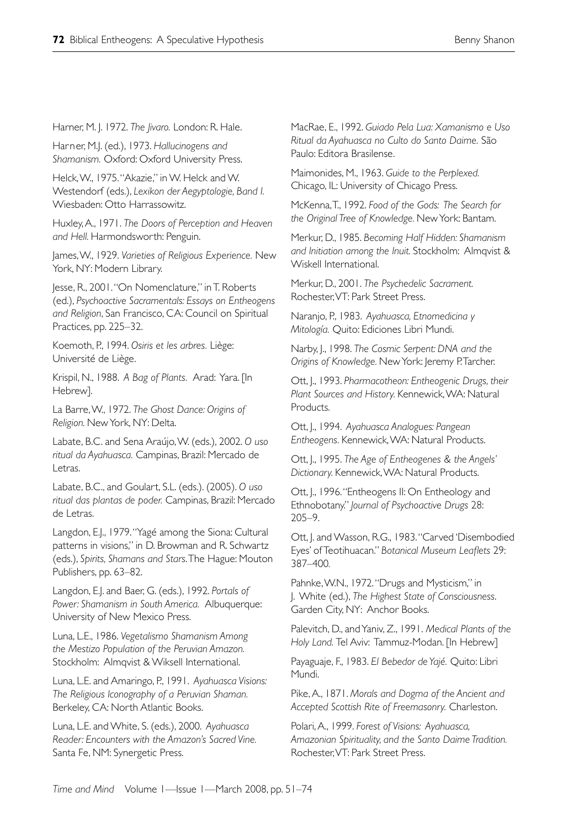Harner, M. J. 1972. The Jivaro. London: R. Hale.

Harner, M.J. (ed.), 1973. Hallucinogens and Shamanism. Oxford: Oxford University Press.

Helck, W., 1975. "Akazie," in W. Helck and W. Westendorf (eds.), Lexikon der Aegyptologie, Band I. Wiesbaden: Otto Harrassowitz.

Huxley, A., 1971. The Doors of Perception and Heaven and Hell. Harmondsworth: Penguin.

James, W., 1929. Varieties of Religious Experience. New York, NY: Modern Library.

Jesse, R., 2001. "On Nomenclature," in T. Roberts (ed.), Psychoactive Sacramentals: Essays on Entheogens and Religion, San Francisco, CA: Council on Spiritual Practices, pp. 225-32.

Koemoth, P., 1994. Osiris et les arbres. Liège: Université de Liège.

Krispil, N., 1988. A Bag of Plants. Arad: Yara. [In Hebrew].

La Barre, W., 1972. The Ghost Dance: Origins of Religion. New York, NY: Delta.

Labate, B.C. and Sena Araújo, W. (eds.), 2002. O uso ritual da Ayahuasca. Campinas, Brazil: Mercado de Letras.

Labate, B.C., and Goulart, S.L. (eds.). (2005). O uso ritual das plantas de poder. Campinas, Brazil: Mercado de Letras.

Langdon, E.J., 1979. "Yagé among the Siona: Cultural patterns in visions," in D. Browman and R. Schwartz (eds.), Spirits, Shamans and Stars. The Hague: Mouton Publishers, pp. 63-82.

Langdon, E.J. and Baer, G. (eds.), 1992. Portals of Power: Shamanism in South America. Albuquerque: University of New Mexico Press.

Luna, L.E., 1986. Vegetalismo Shamanism Among the Mestizo Population of the Peruvian Amazon. Stockholm: Almqvist & Wiksell International.

Luna, L.E. and Amaringo, P., 1991. Ayahuasca Visions: The Religious Iconography of a Peruvian Shaman. Berkeley, CA: North Atlantic Books.

Luna, L.E. and White, S. (eds.), 2000. Ayahuasca Reader: Encounters with the Amazon's Sacred Vine. Santa Fe, NM: Synergetic Press.

MacRae, E., 1992. Guiado Pela Lua: Xamanismo e Uso Ritual da Ayahuasca no Culto do Santo Daime. São Paulo: Editora Brasilense.

Maimonides, M., 1963. Guide to the Perplexed. Chicago, IL: University of Chicago Press.

McKenna, T., 1992. Food of the Gods: The Search for the Original Tree of Knowledge. New York: Bantam.

Merkur, D., 1985. Becoming Half Hidden: Shamanism and Initiation among the Inuit. Stockholm: Almqvist & Wiskell International.

Merkur, D., 2001. The Psychedelic Sacrament. Rochester, VT: Park Street Press.

Naranjo, P., 1983. Ayahuasca, Etnomedicina y Mitología. Quito: Ediciones Libri Mundi.

Narby, I., 1998. The Cosmic Serpent: DNA and the Origins of Knowledge. New York: Jeremy P.Tarcher.

Ott, J., 1993. Pharmacotheon: Entheogenic Drugs, their Plant Sources and History. Kennewick, WA: Natural Products.

Ott, J., 1994. Ayahuasca Analogues: Pangean Entheogens. Kennewick, WA: Natural Products.

Ott, J., 1995. The Age of Entheogenes & the Angels' Dictionary. Kennewick, WA: Natural Products.

Ott, J., 1996. "Entheogens II: On Entheology and Ethnobotany." Journal of Psychoactive Drugs 28:  $205 - 9.$ 

Ott, J. and Wasson, R.G., 1983. "Carved 'Disembodied Eyes' of Teotihuacan." Botanical Museum Leaflets 29: 387-400.

Pahnke, W.N., 1972. "Drugs and Mysticism," in J. White (ed.), The Highest State of Consciousness. Garden City, NY: Anchor Books.

Palevitch, D., and Yaniv, Z., 1991. Medical Plants of the Holy Land. Tel Aviv: Tammuz-Modan. [In Hebrew]

Payaguaje, F., 1983. El Bebedor de Yajé. Quito: Libri Mundi.

Pike, A., 1871. Morals and Dogma of the Ancient and Accepted Scottish Rite of Freemasonry. Charleston.

Polari, A., 1999. Forest of Visions: Ayahuasca, Amazonian Spirituality, and the Santo Daime Tradition. Rochester. VT: Park Street Press.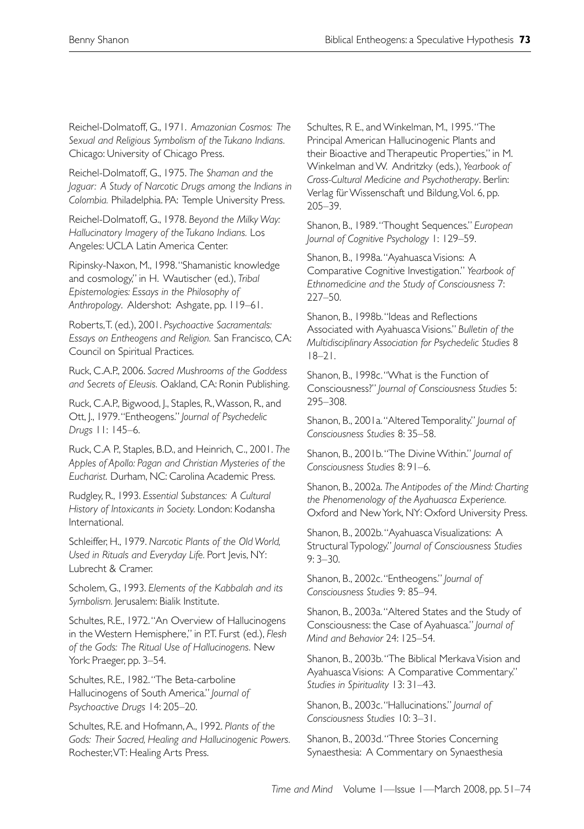Reichel-Dolmatoff, G., 1971, Amazonian Cosmos: The Sexual and Religious Symbolism of the Tukano Indians. Chicago: University of Chicago Press.

Reichel-Dolmatoff, G., 1975. The Shaman and the Jaguar: A Study of Narcotic Drugs among the Indians in Colombia. Philadelphia. PA: Temple University Press.

Reichel-Dolmatoff, G., 1978. Beyond the Milky Way: Hallucinatory Imagery of the Tukano Indians. Los Angeles: UCLA Latin America Center.

Ripinsky-Naxon, M., 1998. "Shamanistic knowledge and cosmology," in H. Wautischer (ed.), Tribal Epistemologies: Essays in the Philosophy of Anthropology. Aldershot: Ashgate, pp. 119-61.

Roberts, T. (ed.), 2001. Psychoactive Sacramentals: Essays on Entheogens and Religion. San Francisco, CA: Council on Spiritual Practices.

Ruck, C.A.P., 2006. Sacred Mushrooms of the Goddess and Secrets of Eleusis. Oakland, CA: Ronin Publishing.

Ruck, C.A.P., Bigwood, J., Staples, R., Wasson, R., and Ott, J., 1979. "Entheogens." Journal of Psychedelic Drugs 11: 145-6.

Ruck, C.A P., Staples, B.D., and Heinrich, C., 2001. The Apples of Apollo: Pagan and Christian Mysteries of the Eucharist. Durham, NC: Carolina Academic Press.

Rudgley, R., 1993. Essential Substances: A Cultural History of Intoxicants in Society. London: Kodansha International.

Schleiffer, H., 1979. Narcotic Plants of the Old World, Used in Rituals and Everyday Life. Port Jevis, NY: Lubrecht & Cramer.

Scholem, G., 1993. Elements of the Kabbalah and its Symbolism. Jerusalem: Bialik Institute.

Schultes, R.E., 1972. "An Overview of Hallucinogens in the Western Hemisphere," in P.T. Furst (ed.), Flesh of the Gods: The Ritual Use of Hallucinogens. New York: Praeger, pp. 3-54.

Schultes, R.E., 1982. "The Beta-carboline Hallucinogens of South America." Journal of Psychoactive Drugs 14: 205-20.

Schultes, R.E. and Hofmann, A., 1992. Plants of the Gods: Their Sacred, Healing and Hallucinogenic Powers. Rochester, VT: Healing Arts Press.

Schultes, R E., and Winkelman, M., 1995. "The Principal American Hallucinogenic Plants and their Bioactive and Therapeutic Properties," in M. Winkelman and W. Andritzky (eds.), Yearbook of Cross-Cultural Medicine and Psychotherapy. Berlin: Verlag für Wissenschaft und Bildung, Vol. 6, pp.  $205 - 39.$ 

Shanon, B., 1989. "Thought Sequences." European Journal of Cognitive Psychology 1: 129-59.

Shanon, B., 1998a. "Ayahuasca Visions: A Comparative Cognitive Investigation." Yearbook of Ethnomedicine and the Study of Consciousness 7:  $227 - 50.$ 

Shanon, B., 1998b. "Ideas and Reflections Associated with Ayahuasca Visions." Bulletin of the Multidisciplinary Association for Psychedelic Studies 8  $18 - 21$ .

Shanon, B., 1998c. "What is the Function of Consciousness?" Journal of Consciousness Studies 5: 295-308.

Shanon, B., 2001a. "Altered Temporality." Journal of Consciousness Studies 8: 35-58.

Shanon, B., 2001b. "The Divine Within." Journal of Consciousness Studies 8: 91-6.

Shanon, B., 2002a. The Antipodes of the Mind: Charting the Phenomenology of the Ayahuasca Experience. Oxford and New York, NY: Oxford University Press.

Shanon, B., 2002b. "Ayahuasca Visualizations: A Structural Typology." Journal of Consciousness Studies  $9:3 - 30.$ 

Shanon, B., 2002c. "Entheogens." Journal of Consciousness Studies 9: 85-94.

Shanon, B., 2003a. "Altered States and the Study of Consciousness: the Case of Ayahuasca." Journal of Mind and Behavior 24: 125-54.

Shanon, B., 2003b. "The Biblical Merkava Vision and Ayahuasca Visions: A Comparative Commentary." Studies in Spirituality 13: 31-43.

Shanon, B., 2003c. "Hallucinations." Journal of Consciousness Studies 10: 3-31.

Shanon, B., 2003d. "Three Stories Concerning Synaesthesia: A Commentary on Synaesthesia